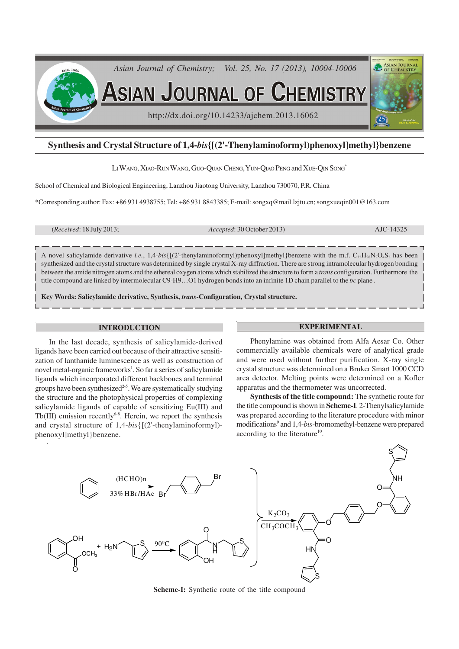

# **Synthesis and Crystal Structure of 1,4-***bis***{[(2'-Thenylaminoformyl)phenoxyl]methyl}benzene**

LI WANG, XIAO-RUN WANG, GUO-QUAN CHENG, YUN-QIAO PENG and XUE-QIN SONG\*

School of Chemical and Biological Engineering, Lanzhou Jiaotong University, Lanzhou 730070, P.R. China

\*Corresponding author: Fax: +86 931 4938755; Tel: +86 931 8843385; E-mail: songxq@mail.lzjtu.cn; songxueqin001@163.com

(*Received*: 18 July 2013; *Accepted*: 30 October 2013) AJC-14325

A novel salicylamide derivative *i.e.*,  $1,4$ -*bis*{ $[(2$ <sup>-thenylaminoformyl)phenoxyl]methyl}benzene with the m.f.  $C_{32}H_{28}N_2O_4S_2$  has been</sup> synthesized and the crystal structure was determined by single crystal X-ray diffraction. There are strong intramolecular hydrogen bonding between the amide nitrogen atoms and the ethereal oxygen atoms which stabilized the structure to form a *trans* configuration. Furthermore the title compound are linked by intermolecular C9-H9…O1 hydrogen bonds into an infinite 1D chain parallel to the *bc* plane .

**Key Words: Salicylamide derivative, Synthesis,** *trans***-Configuration, Crystal structure.**

### **INTRODUCTION**

In the last decade, synthesis of salicylamide-derived ligands have been carried out because of their attractive sensitization of lanthanide luminescence as well as construction of novel metal-organic frameworks<sup>1</sup>. So far a series of salicylamide ligands which incorporated different backbones and terminal groups have been synthesized $2<sup>5</sup>$ . We are systematically studying the structure and the photophysical properties of complexing salicylamide ligands of capable of sensitizing Eu(III) and Tb(III) emission recently<sup>6-8</sup>. Herein, we report the synthesis and crystal structure of 1,4-*bis*{[(2'-thenylaminoformyl) phenoxyl]methyl}benzene.

#### **EXPERIMENTAL**

Phenylamine was obtained from Alfa Aesar Co. Other commercially available chemicals were of analytical grade and were used without further purification. X-ray single crystal structure was determined on a Bruker Smart 1000 CCD area detector. Melting points were determined on a Kofler apparatus and the thermometer was uncorrected.

**Synthesis of the title compound:** The synthetic route for the title compound is shown in **Scheme-I**. 2-Thenylsalicylamide was prepared according to the literature procedure with minor modifications<sup>9</sup> and 1,4-*bis*-bromomethyl-benzene were prepared according to the literature<sup>10</sup>.



**Scheme-I:** Synthetic route of the title compound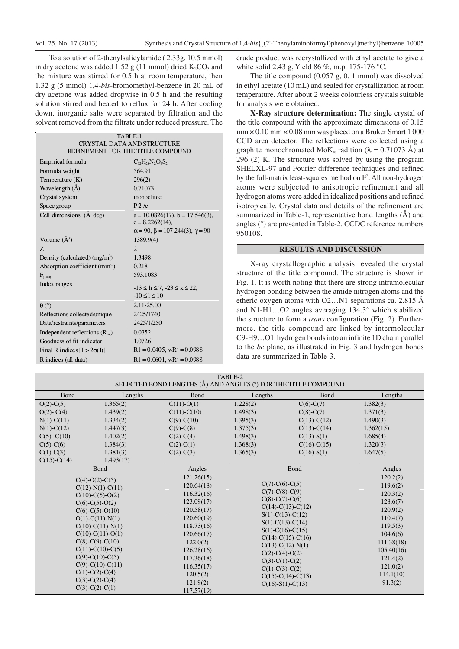To a solution of 2-thenylsalicylamide ( 2.33g, 10.5 mmol) in dry acetone was added 1.52 g (11 mmol) dried  $K_2CO_3$  and the mixture was stirred for 0.5 h at room temperature, then 1.32 g (5 mmol) 1,4-*bis*-bromomethyl-benzene in 20 mL of dry acetone was added dropwise in 0.5 h and the resulting solution stirred and heated to reflux for 24 h. After cooling down, inorganic salts were separated by filtration and the solvent removed from the filtrate under reduced pressure. The

| TABLE-1                             |                                                            |  |  |  |  |
|-------------------------------------|------------------------------------------------------------|--|--|--|--|
| <b>CRYSTAL DATA AND STRUCTURE</b>   |                                                            |  |  |  |  |
| REFINEMENT FOR THE TITLE COMPOUND   |                                                            |  |  |  |  |
| Empirical formula                   | $C_{3}H_{28}N_{2}O_{4}S_{2}$                               |  |  |  |  |
| Formula weight                      | 564.91                                                     |  |  |  |  |
| Temperature $(K)$                   | 296(2)                                                     |  |  |  |  |
| Wavelength (Å)                      | 0.71073                                                    |  |  |  |  |
| Crystal system                      | monoclinic                                                 |  |  |  |  |
| Space group                         | P2/c                                                       |  |  |  |  |
| Cell dimensions, (A, deg)           | $a = 10.0826(17)$ , $b = 17.546(3)$ ,<br>$c = 8.2262(14),$ |  |  |  |  |
|                                     | $\alpha$ = 90, $\beta$ = 107.244(3), $\gamma$ = 90         |  |  |  |  |
| Volume $(A^3)$                      | 1389.9(4)                                                  |  |  |  |  |
| Z                                   | $\overline{2}$                                             |  |  |  |  |
| Density (calculated) $(mg/m3)$      | 1.3498                                                     |  |  |  |  |
| Absorption coefficient $(mm-1)$     | 0.218                                                      |  |  |  |  |
| $F_{\alpha 00}$                     | 593.1083                                                   |  |  |  |  |
| Index ranges                        | $-13 \le h \le 7, -23 \le k \le 22,$                       |  |  |  |  |
|                                     | $-10 \le l \le 10$                                         |  |  |  |  |
| $\theta$ (°)                        | $2.11 - 25.00$                                             |  |  |  |  |
| Reflections collected/unique        | 2425/1740                                                  |  |  |  |  |
|                                     | 2425/1/250                                                 |  |  |  |  |
| Data/restraints/parameters          |                                                            |  |  |  |  |
| Independent reflections $(R_{int})$ | 0.0352                                                     |  |  |  |  |
| Goodness of fit indicator           | 1.0726                                                     |  |  |  |  |
| Final R indices $[I > 2\sigma(I)]$  | $R1 = 0.0405$ , $wR^2 = 0.0988$                            |  |  |  |  |
| R indices (all data)                | $R1 = 0.0601$ , w $R^2 = 0.0988$                           |  |  |  |  |

crude product was recrystallized with ethyl acetate to give a white solid 2.43 g, Yield 86 %, m.p. 175-176 °C.

The title compound (0.057 g, 0. 1 mmol) was dissolved in ethyl acetate (10 mL) and sealed for crystallization at room temperature. After about 2 weeks colourless crystals suitable for analysis were obtained.

**X-Ray structure determination:** The single crystal of the title compound with the approximate dimensions of 0.15  $mm \times 0.10 \,mm \times 0.08 \,mm$  was placed on a Bruker Smart 1 000 CCD area detector. The reflections were collected using a graphite monochromated MoK<sub>α</sub> radition ( $\lambda = 0.71073$  Å) at 296 (2) K. The structure was solved by using the program SHELXL-97 and Fourier difference techniques and refined by the full-matrix least-squares method on  $F^2$ . All non-hydrogen atoms were subjected to anisotropic refinement and all hydrogen atoms were added in idealized positions and refined isotropically. Crystal data and details of the refinement are summarized in Table-1, representative bond lengths (Å) and angles (°) are presented in Table-2. CCDC reference numbers 950108.

#### **RESULTS AND DISCUSSION**

X-ray crystallographic analysis revealed the crystal structure of the title compound. The structure is shown in Fig. 1. It is worth noting that there are strong intramolecular hydrogen bonding between the amide nitrogen atoms and the etheric oxygen atoms with  $O2...N1$  separations ca. 2.815 Å and N1-H1…O2 angles averaging 134.3° which stabilized the structure to form a *trans* configuration (Fig. 2). Furthermore, the title compound are linked by intermolecular C9-H9…O1 hydrogen bonds into an infinite 1D chain parallel to the *bc* plane, as illustrated in Fig. 3 and hydrogen bonds data are summarized in Table-3.

| TABLE-2<br>SELECTED BOND LENGTHS (Å) AND ANGLES (°) FOR THE TITLE COMPOUND                                       |                    |                  |                                                                                                                               |                                        |            |  |  |
|------------------------------------------------------------------------------------------------------------------|--------------------|------------------|-------------------------------------------------------------------------------------------------------------------------------|----------------------------------------|------------|--|--|
| Bond                                                                                                             | Lengths            | <b>Bond</b>      | Lengths                                                                                                                       | <b>Bond</b>                            | Lengths    |  |  |
| $O(2)$ -C(5)                                                                                                     | 1.365(2)           | $C(11)-O(1)$     | 1.228(2)                                                                                                                      | $C(6)-C(7)$                            | 1.382(3)   |  |  |
| $O(2)$ - $C(4)$                                                                                                  | 1.439(2)           | $C(11)-C(10)$    | 1.498(3)                                                                                                                      | $C(8)-C(7)$                            | 1.371(3)   |  |  |
| $N(1)-C(11)$                                                                                                     | 1.334(2)           | $C(9)$ - $C(10)$ | 1.395(3)                                                                                                                      | $C(13)-C(12)$                          | 1.490(3)   |  |  |
| $N(1)-C(12)$                                                                                                     | 1.447(3)           | $C(9)$ - $C(8)$  | 1.375(3)                                                                                                                      | $C(13)-C(14)$                          | 1.362(15)  |  |  |
| $C(5)$ - $C(10)$                                                                                                 | 1.402(2)           | $C(2)-C(4)$      | 1.498(3)                                                                                                                      | $C(13) - S(1)$                         | 1.685(4)   |  |  |
| $C(5)-C(6)$                                                                                                      | 1.384(3)           | $C(2)-C(1)$      | 1.368(3)                                                                                                                      | $C(16)-C(15)$                          | 1.320(3)   |  |  |
| $C(1)-C(3)$                                                                                                      | 1.381(3)           | $C(2)-C(3)$      | 1.365(3)                                                                                                                      | $C(16) - S(1)$                         | 1.647(5)   |  |  |
| $C(15)-C(14)$                                                                                                    | 1.493(17)          |                  |                                                                                                                               |                                        |            |  |  |
|                                                                                                                  | Bond               | Angles           |                                                                                                                               | Bond                                   | Angles     |  |  |
| $C(4)-O(2)-C(5)$<br>$C(12)-N(1)-C(11)$<br>$C(10)-C(5)-O(2)$<br>$C(6)-C(5)-O(2)$                                  |                    | 121.26(15)       |                                                                                                                               |                                        | 120.2(2)   |  |  |
|                                                                                                                  |                    | 120.64(18)       | $C(7)$ -C(6)-C(5)<br>$C(7)$ -C(8)-C(9)<br>$C(8)-C(7)-C(6)$<br>$C(14)-C(13)-C(12)$<br>$S(1)-C(13)-C(12)$<br>$S(1)-C(13)-C(14)$ |                                        | 119.6(2)   |  |  |
|                                                                                                                  |                    | 116.32(16)       |                                                                                                                               |                                        | 120.3(2)   |  |  |
|                                                                                                                  |                    | 123.09(17)       |                                                                                                                               |                                        | 128.6(7)   |  |  |
| $C(6)-C(5)-O(10)$                                                                                                |                    | 120.58(17)       |                                                                                                                               |                                        | 120.9(2)   |  |  |
| $O(1)$ -C $(11)$ -N $(1)$<br>$C(10)-C(11)-N(1)$<br>$C(10)-C(11)-O(1)$<br>$C(8)-C(9)-C(10)$<br>$C(11)-C(10)-C(5)$ |                    | 120.60(19)       |                                                                                                                               |                                        | 110.4(7)   |  |  |
|                                                                                                                  |                    | 118.73(16)       |                                                                                                                               |                                        | 119.5(3)   |  |  |
|                                                                                                                  |                    | 120.66(17)       | $S(1)$ -C(16)-C(15)<br>$C(14)-C(15)-C(16)$                                                                                    |                                        | 104.6(6)   |  |  |
|                                                                                                                  |                    | 122.0(2)         |                                                                                                                               | $C(13)-C(12)-N(1)$<br>$C(2)-C(4)-O(2)$ | 111.38(18) |  |  |
|                                                                                                                  |                    | 126.28(16)       |                                                                                                                               |                                        | 105.40(16) |  |  |
|                                                                                                                  | $C(9)$ -C(10)-C(5) | 117.36(18)       | $C(3)-C(1)-C(2)$                                                                                                              |                                        | 121.4(2)   |  |  |
|                                                                                                                  | $C(9)-C(10)-C(11)$ |                  |                                                                                                                               | $C(1)-C(3)-C(2)$                       | 121.0(2)   |  |  |
|                                                                                                                  | $C(1)-C(2)-C(4)$   | 120.5(2)         |                                                                                                                               | $C(15)-C(14)-C(13)$                    |            |  |  |
|                                                                                                                  | $C(3)-C(2)-C(4)$   | 121.9(2)         | $C(16)-S(1)-C(13)$                                                                                                            |                                        | 91.3(2)    |  |  |
| $C(3)-C(2)-C(1)$                                                                                                 | 117.57(19)         |                  |                                                                                                                               |                                        |            |  |  |